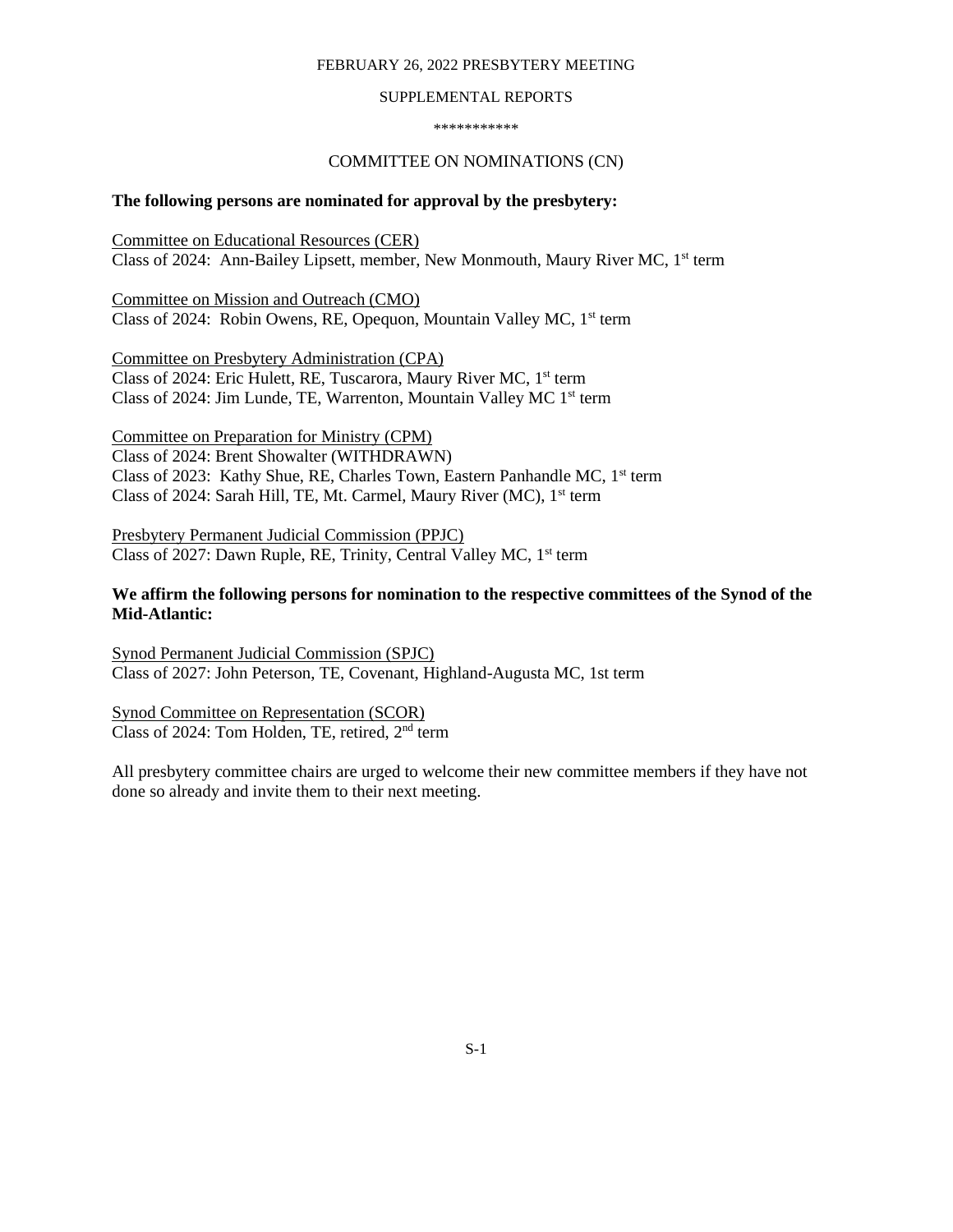#### FEBRUARY 26, 2022 PRESBYTERY MEETING

#### SUPPLEMENTAL REPORTS

\*\*\*\*\*\*\*\*\*\*\*

### COMMITTEE ON NOMINATIONS (CN)

### **The following persons are nominated for approval by the presbytery:**

Committee on Educational Resources (CER) Class of 2024: Ann-Bailey Lipsett, member, New Monmouth, Maury River MC, 1<sup>st</sup> term

Committee on Mission and Outreach (CMO) Class of 2024: Robin Owens, RE, Opequon, Mountain Valley MC, 1<sup>st</sup> term

Committee on Presbytery Administration (CPA) Class of 2024: Eric Hulett, RE, Tuscarora, Maury River MC, 1<sup>st</sup> term Class of 2024: Jim Lunde, TE, Warrenton, Mountain Valley MC 1st term

Committee on Preparation for Ministry (CPM) Class of 2024: Brent Showalter (WITHDRAWN) Class of 2023: Kathy Shue, RE, Charles Town, Eastern Panhandle MC, 1<sup>st</sup> term Class of 2024: Sarah Hill, TE, Mt. Carmel, Maury River (MC), 1<sup>st</sup> term

Presbytery Permanent Judicial Commission (PPJC) Class of 2027: Dawn Ruple, RE, Trinity, Central Valley MC, 1st term

## **We affirm the following persons for nomination to the respective committees of the Synod of the Mid-Atlantic:**

Synod Permanent Judicial Commission (SPJC) Class of 2027: John Peterson, TE, Covenant, Highland-Augusta MC, 1st term

Synod Committee on Representation (SCOR) Class of 2024: Tom Holden, TE, retired, 2<sup>nd</sup> term

All presbytery committee chairs are urged to welcome their new committee members if they have not done so already and invite them to their next meeting.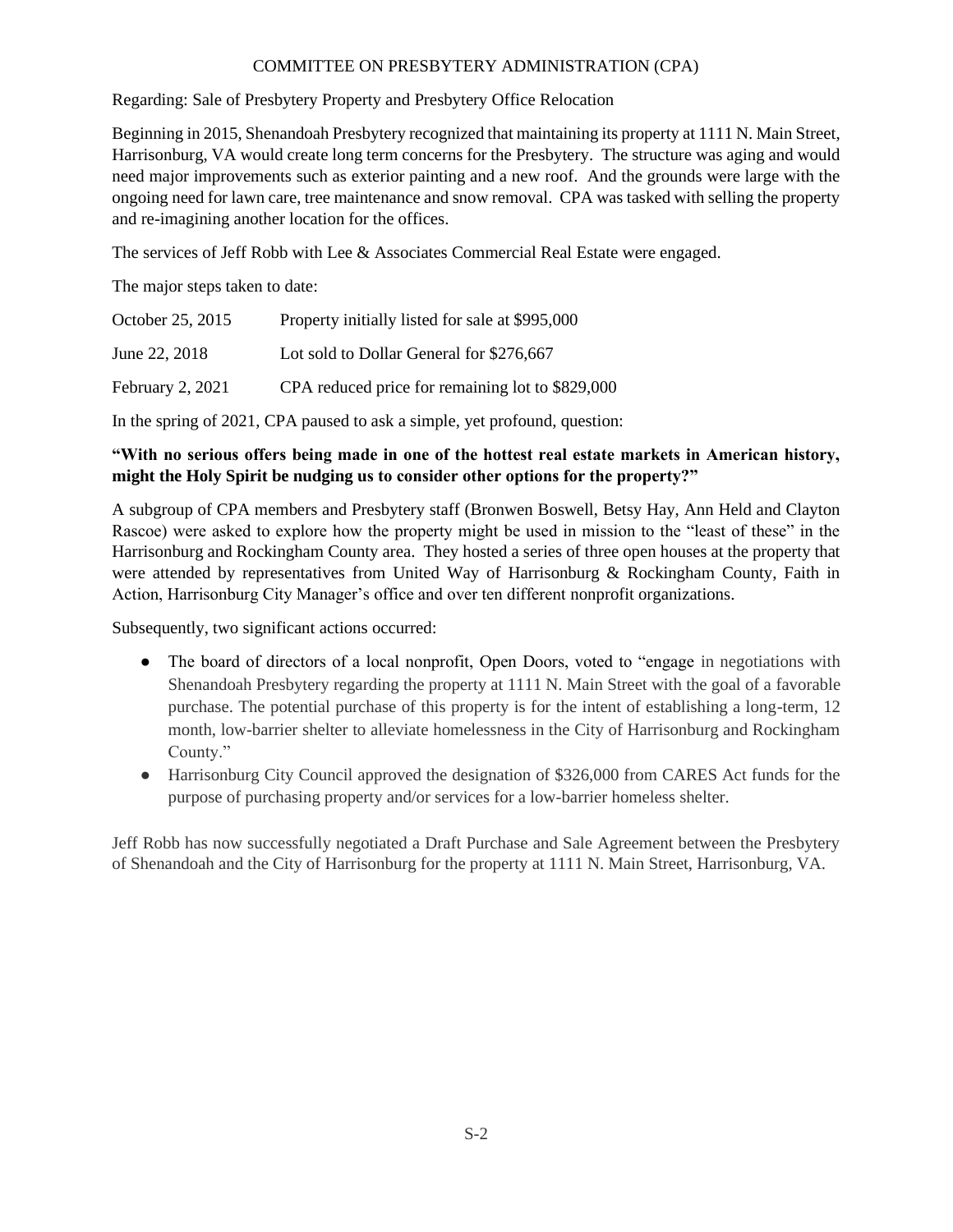## COMMITTEE ON PRESBYTERY ADMINISTRATION (CPA)

Regarding: Sale of Presbytery Property and Presbytery Office Relocation

Beginning in 2015, Shenandoah Presbytery recognized that maintaining its property at 1111 N. Main Street, Harrisonburg, VA would create long term concerns for the Presbytery. The structure was aging and would need major improvements such as exterior painting and a new roof. And the grounds were large with the ongoing need for lawn care, tree maintenance and snow removal. CPA was tasked with selling the property and re-imagining another location for the offices.

The services of Jeff Robb with Lee & Associates Commercial Real Estate were engaged.

The major steps taken to date:

| October 25, 2015 | Property initially listed for sale at \$995,000  |
|------------------|--------------------------------------------------|
| June 22, 2018    | Lot sold to Dollar General for \$276,667         |
| February 2, 2021 | CPA reduced price for remaining lot to \$829,000 |

In the spring of 2021, CPA paused to ask a simple, yet profound, question:

# **"With no serious offers being made in one of the hottest real estate markets in American history, might the Holy Spirit be nudging us to consider other options for the property?"**

A subgroup of CPA members and Presbytery staff (Bronwen Boswell, Betsy Hay, Ann Held and Clayton Rascoe) were asked to explore how the property might be used in mission to the "least of these" in the Harrisonburg and Rockingham County area. They hosted a series of three open houses at the property that were attended by representatives from United Way of Harrisonburg & Rockingham County, Faith in Action, Harrisonburg City Manager's office and over ten different nonprofit organizations.

Subsequently, two significant actions occurred:

- The board of directors of a local nonprofit, Open Doors, voted to "engage in negotiations with Shenandoah Presbytery regarding the property at 1111 N. Main Street with the goal of a favorable purchase. The potential purchase of this property is for the intent of establishing a long-term, 12 month, low-barrier shelter to alleviate homelessness in the City of Harrisonburg and Rockingham County."
- Harrisonburg City Council approved the designation of \$326,000 from CARES Act funds for the purpose of purchasing property and/or services for a low-barrier homeless shelter.

Jeff Robb has now successfully negotiated a Draft Purchase and Sale Agreement between the Presbytery of Shenandoah and the City of Harrisonburg for the property at 1111 N. Main Street, Harrisonburg, VA.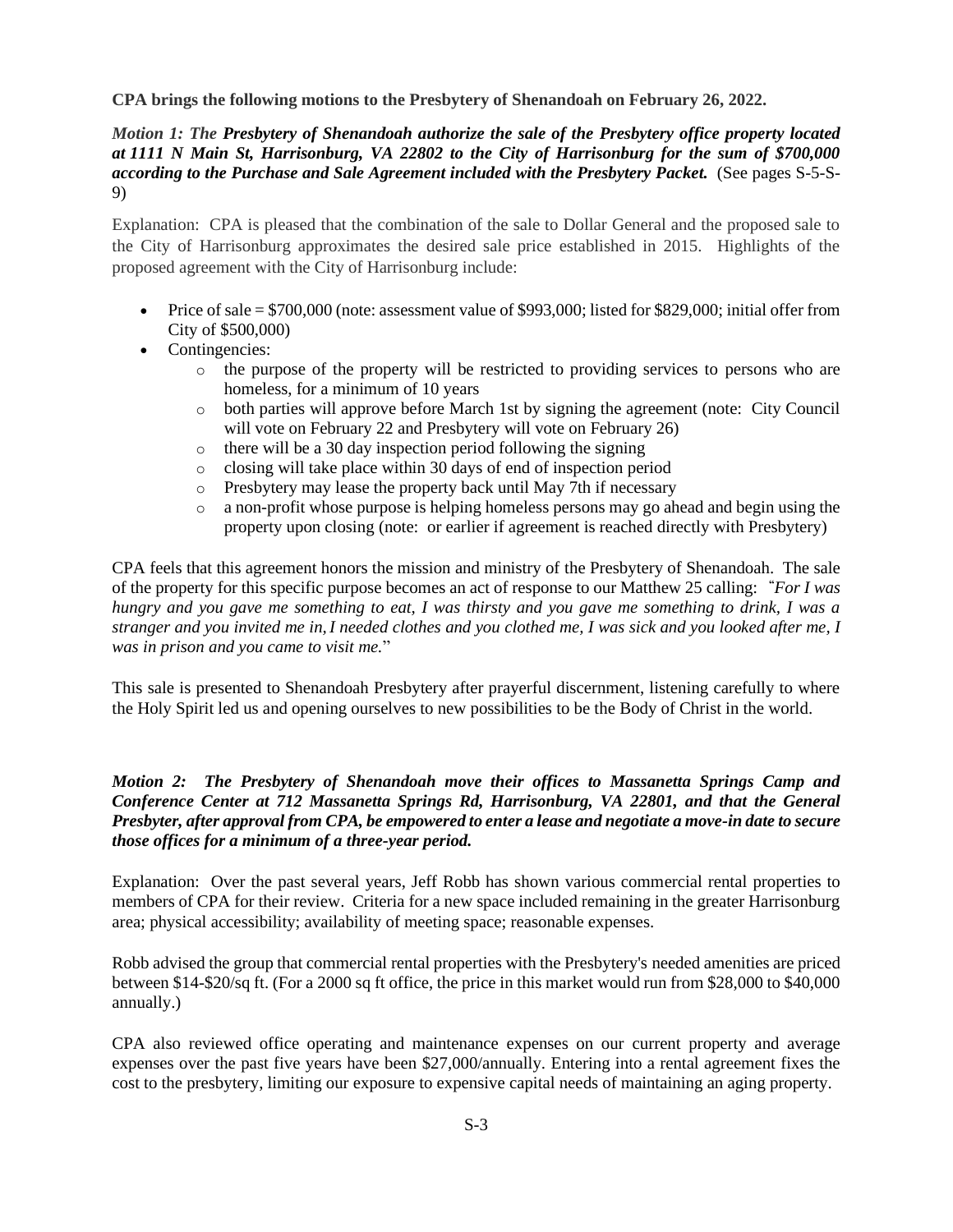## **CPA brings the following motions to the Presbytery of Shenandoah on February 26, 2022.**

## *Motion 1: The Presbytery of Shenandoah authorize the sale of the Presbytery office property located at 1111 N Main St, Harrisonburg, VA 22802 to the City of Harrisonburg for the sum of \$700,000 according to the Purchase and Sale Agreement included with the Presbytery Packet.* (See pages S-5-S-9)

Explanation: CPA is pleased that the combination of the sale to Dollar General and the proposed sale to the City of Harrisonburg approximates the desired sale price established in 2015. Highlights of the proposed agreement with the City of Harrisonburg include:

- Price of sale  $= $700,000$  (note: assessment value of \$993,000; listed for \$829,000; initial offer from City of \$500,000)
- Contingencies:
	- o the purpose of the property will be restricted to providing services to persons who are homeless, for a minimum of 10 years
	- o both parties will approve before March 1st by signing the agreement (note: City Council will vote on February 22 and Presbytery will vote on February 26)
	- o there will be a 30 day inspection period following the signing
	- o closing will take place within 30 days of end of inspection period
	- o Presbytery may lease the property back until May 7th if necessary
	- o a non-profit whose purpose is helping homeless persons may go ahead and begin using the property upon closing (note: or earlier if agreement is reached directly with Presbytery)

CPA feels that this agreement honors the mission and ministry of the Presbytery of Shenandoah. The sale of the property for this specific purpose becomes an act of response to our Matthew 25 calling: **"***For I was hungry and you gave me something to eat, I was thirsty and you gave me something to drink, I was a stranger and you invited me in,I needed clothes and you clothed me, I was sick and you looked after me, I was in prison and you came to visit me.*"

This sale is presented to Shenandoah Presbytery after prayerful discernment, listening carefully to where the Holy Spirit led us and opening ourselves to new possibilities to be the Body of Christ in the world.

## *Motion 2: The Presbytery of Shenandoah move their offices to Massanetta Springs Camp and Conference Center at 712 Massanetta Springs Rd, Harrisonburg, VA 22801, and that the General Presbyter, after approval from CPA, be empowered to enter a lease and negotiate a move-in date to secure those offices for a minimum of a three-year period.*

Explanation: Over the past several years, Jeff Robb has shown various commercial rental properties to members of CPA for their review. Criteria for a new space included remaining in the greater Harrisonburg area; physical accessibility; availability of meeting space; reasonable expenses.

Robb advised the group that commercial rental properties with the Presbytery's needed amenities are priced between \$14-\$20/sq ft. (For a 2000 sq ft office, the price in this market would run from \$28,000 to \$40,000 annually.)

CPA also reviewed office operating and maintenance expenses on our current property and average expenses over the past five years have been \$27,000/annually. Entering into a rental agreement fixes the cost to the presbytery, limiting our exposure to expensive capital needs of maintaining an aging property.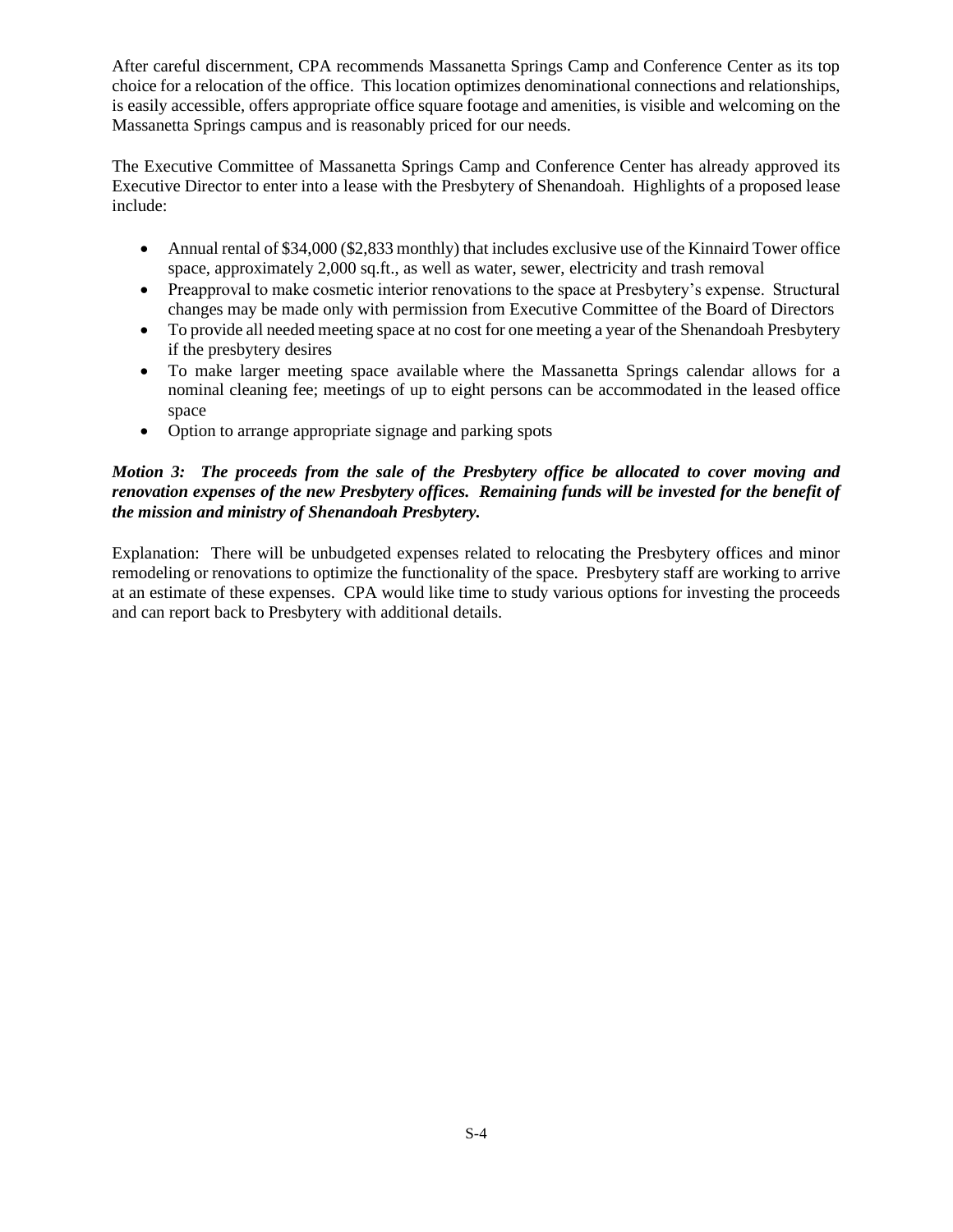After careful discernment, CPA recommends Massanetta Springs Camp and Conference Center as its top choice for a relocation of the office. This location optimizes denominational connections and relationships, is easily accessible, offers appropriate office square footage and amenities, is visible and welcoming on the Massanetta Springs campus and is reasonably priced for our needs.

The Executive Committee of Massanetta Springs Camp and Conference Center has already approved its Executive Director to enter into a lease with the Presbytery of Shenandoah. Highlights of a proposed lease include:

- Annual rental of \$34,000 (\$2,833 monthly) that includes exclusive use of the Kinnaird Tower office space, approximately 2,000 sq.ft., as well as water, sewer, electricity and trash removal
- Preapproval to make cosmetic interior renovations to the space at Presbytery's expense. Structural changes may be made only with permission from Executive Committee of the Board of Directors
- To provide all needed meeting space at no cost for one meeting a year of the Shenandoah Presbytery if the presbytery desires
- To make larger meeting space available where the Massanetta Springs calendar allows for a nominal cleaning fee; meetings of up to eight persons can be accommodated in the leased office space
- Option to arrange appropriate signage and parking spots

# *Motion 3: The proceeds from the sale of the Presbytery office be allocated to cover moving and renovation expenses of the new Presbytery offices. Remaining funds will be invested for the benefit of the mission and ministry of Shenandoah Presbytery.*

Explanation: There will be unbudgeted expenses related to relocating the Presbytery offices and minor remodeling or renovations to optimize the functionality of the space. Presbytery staff are working to arrive at an estimate of these expenses. CPA would like time to study various options for investing the proceeds and can report back to Presbytery with additional details.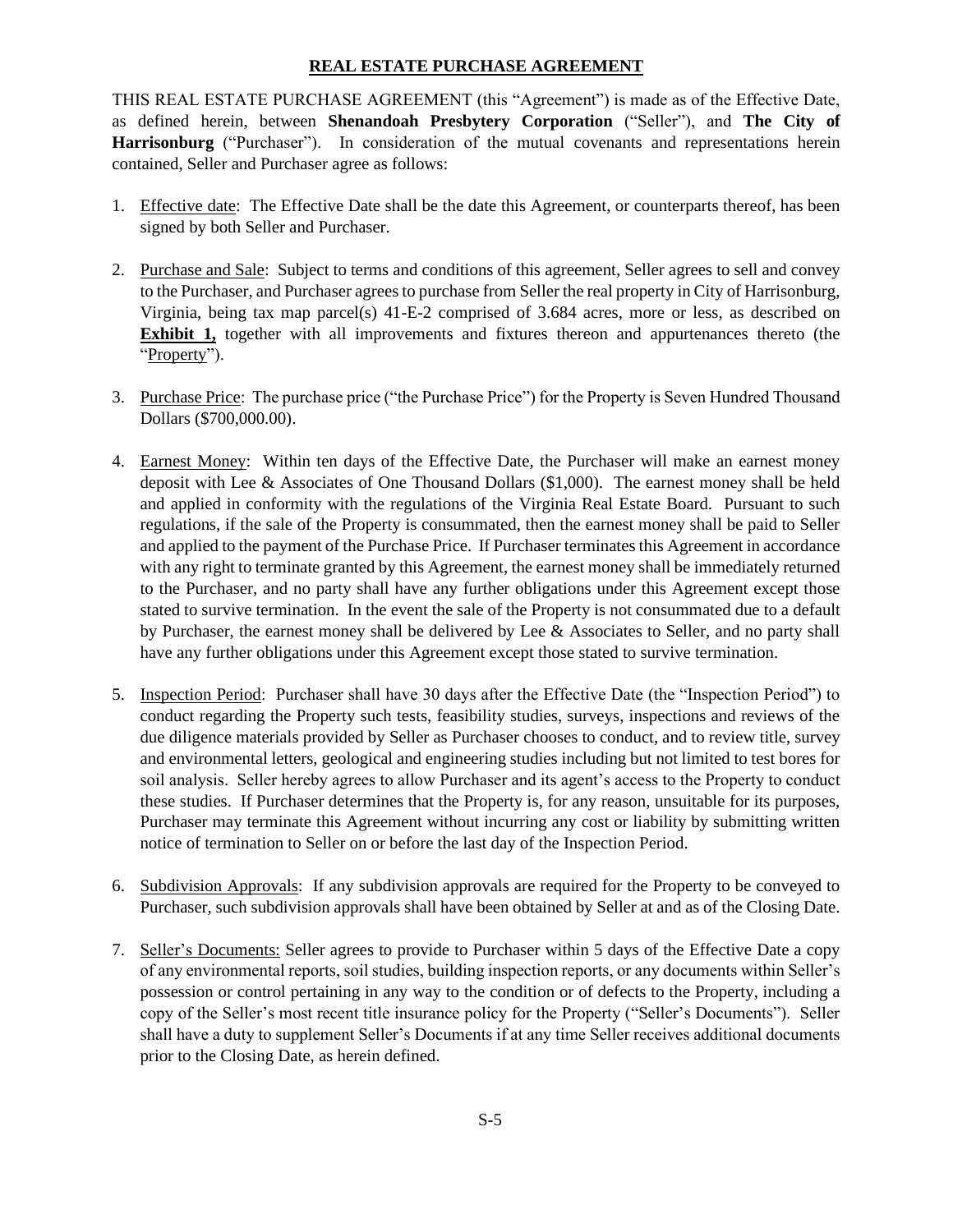### **REAL ESTATE PURCHASE AGREEMENT**

THIS REAL ESTATE PURCHASE AGREEMENT (this "Agreement") is made as of the Effective Date, as defined herein, between **Shenandoah Presbytery Corporation** ("Seller"), and **The City of Harrisonburg** ("Purchaser"). In consideration of the mutual covenants and representations herein contained, Seller and Purchaser agree as follows:

- 1. Effective date: The Effective Date shall be the date this Agreement, or counterparts thereof, has been signed by both Seller and Purchaser.
- 2. Purchase and Sale: Subject to terms and conditions of this agreement, Seller agrees to sell and convey to the Purchaser, and Purchaser agrees to purchase from Seller the real property in City of Harrisonburg, Virginia, being tax map parcel(s) 41-E-2 comprised of 3.684 acres, more or less, as described on **Exhibit 1,** together with all improvements and fixtures thereon and appurtenances thereto (the "Property").
- 3. Purchase Price: The purchase price ("the Purchase Price") for the Property is Seven Hundred Thousand Dollars (\$700,000.00).
- 4. Earnest Money: Within ten days of the Effective Date, the Purchaser will make an earnest money deposit with Lee & Associates of One Thousand Dollars (\$1,000). The earnest money shall be held and applied in conformity with the regulations of the Virginia Real Estate Board. Pursuant to such regulations, if the sale of the Property is consummated, then the earnest money shall be paid to Seller and applied to the payment of the Purchase Price. If Purchaser terminates this Agreement in accordance with any right to terminate granted by this Agreement, the earnest money shall be immediately returned to the Purchaser, and no party shall have any further obligations under this Agreement except those stated to survive termination. In the event the sale of the Property is not consummated due to a default by Purchaser, the earnest money shall be delivered by Lee & Associates to Seller, and no party shall have any further obligations under this Agreement except those stated to survive termination.
- 5. Inspection Period: Purchaser shall have 30 days after the Effective Date (the "Inspection Period") to conduct regarding the Property such tests, feasibility studies, surveys, inspections and reviews of the due diligence materials provided by Seller as Purchaser chooses to conduct, and to review title, survey and environmental letters, geological and engineering studies including but not limited to test bores for soil analysis. Seller hereby agrees to allow Purchaser and its agent's access to the Property to conduct these studies. If Purchaser determines that the Property is, for any reason, unsuitable for its purposes, Purchaser may terminate this Agreement without incurring any cost or liability by submitting written notice of termination to Seller on or before the last day of the Inspection Period.
- 6. Subdivision Approvals: If any subdivision approvals are required for the Property to be conveyed to Purchaser, such subdivision approvals shall have been obtained by Seller at and as of the Closing Date.
- 7. Seller's Documents: Seller agrees to provide to Purchaser within 5 days of the Effective Date a copy of any environmental reports, soil studies, building inspection reports, or any documents within Seller's possession or control pertaining in any way to the condition or of defects to the Property, including a copy of the Seller's most recent title insurance policy for the Property ("Seller's Documents"). Seller shall have a duty to supplement Seller's Documents if at any time Seller receives additional documents prior to the Closing Date, as herein defined.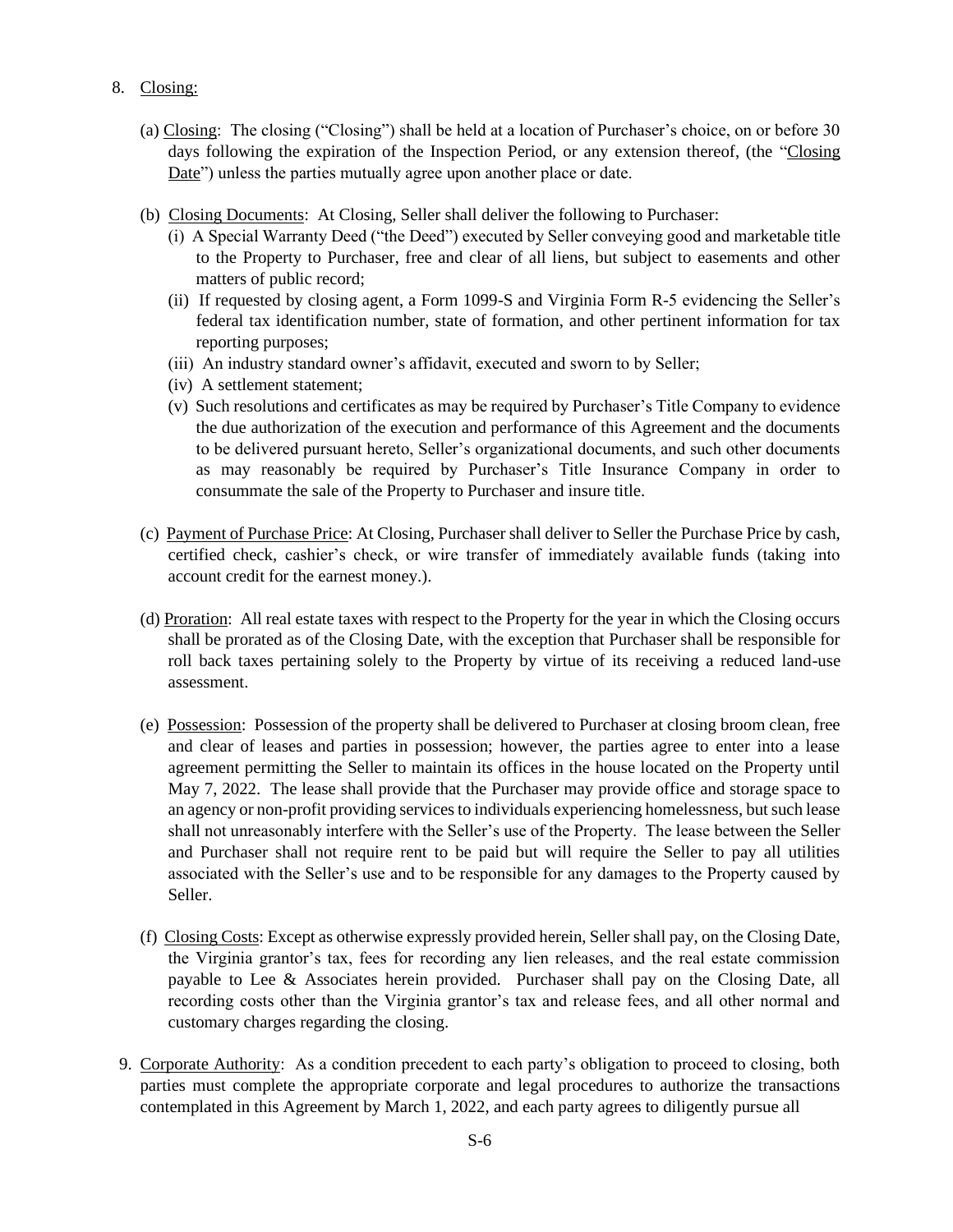- 8. Closing:
	- (a) Closing: The closing ("Closing") shall be held at a location of Purchaser's choice, on or before 30 days following the expiration of the Inspection Period, or any extension thereof, (the "Closing Date") unless the parties mutually agree upon another place or date.
	- (b) Closing Documents: At Closing, Seller shall deliver the following to Purchaser:
		- (i) A Special Warranty Deed ("the Deed") executed by Seller conveying good and marketable title to the Property to Purchaser, free and clear of all liens, but subject to easements and other matters of public record;
		- (ii) If requested by closing agent, a Form 1099-S and Virginia Form R-5 evidencing the Seller's federal tax identification number, state of formation, and other pertinent information for tax reporting purposes;
		- (iii) An industry standard owner's affidavit, executed and sworn to by Seller;
		- (iv) A settlement statement;
		- (v) Such resolutions and certificates as may be required by Purchaser's Title Company to evidence the due authorization of the execution and performance of this Agreement and the documents to be delivered pursuant hereto, Seller's organizational documents, and such other documents as may reasonably be required by Purchaser's Title Insurance Company in order to consummate the sale of the Property to Purchaser and insure title.
	- (c) Payment of Purchase Price: At Closing, Purchaser shall deliver to Seller the Purchase Price by cash, certified check, cashier's check, or wire transfer of immediately available funds (taking into account credit for the earnest money.).
	- (d) Proration: All real estate taxes with respect to the Property for the year in which the Closing occurs shall be prorated as of the Closing Date, with the exception that Purchaser shall be responsible for roll back taxes pertaining solely to the Property by virtue of its receiving a reduced land-use assessment.
	- (e) Possession: Possession of the property shall be delivered to Purchaser at closing broom clean, free and clear of leases and parties in possession; however, the parties agree to enter into a lease agreement permitting the Seller to maintain its offices in the house located on the Property until May 7, 2022. The lease shall provide that the Purchaser may provide office and storage space to an agency or non-profit providing services to individuals experiencing homelessness, but such lease shall not unreasonably interfere with the Seller's use of the Property. The lease between the Seller and Purchaser shall not require rent to be paid but will require the Seller to pay all utilities associated with the Seller's use and to be responsible for any damages to the Property caused by Seller.
	- (f) Closing Costs: Except as otherwise expressly provided herein, Seller shall pay, on the Closing Date, the Virginia grantor's tax, fees for recording any lien releases, and the real estate commission payable to Lee & Associates herein provided. Purchaser shall pay on the Closing Date, all recording costs other than the Virginia grantor's tax and release fees, and all other normal and customary charges regarding the closing.
- 9. Corporate Authority: As a condition precedent to each party's obligation to proceed to closing, both parties must complete the appropriate corporate and legal procedures to authorize the transactions contemplated in this Agreement by March 1, 2022, and each party agrees to diligently pursue all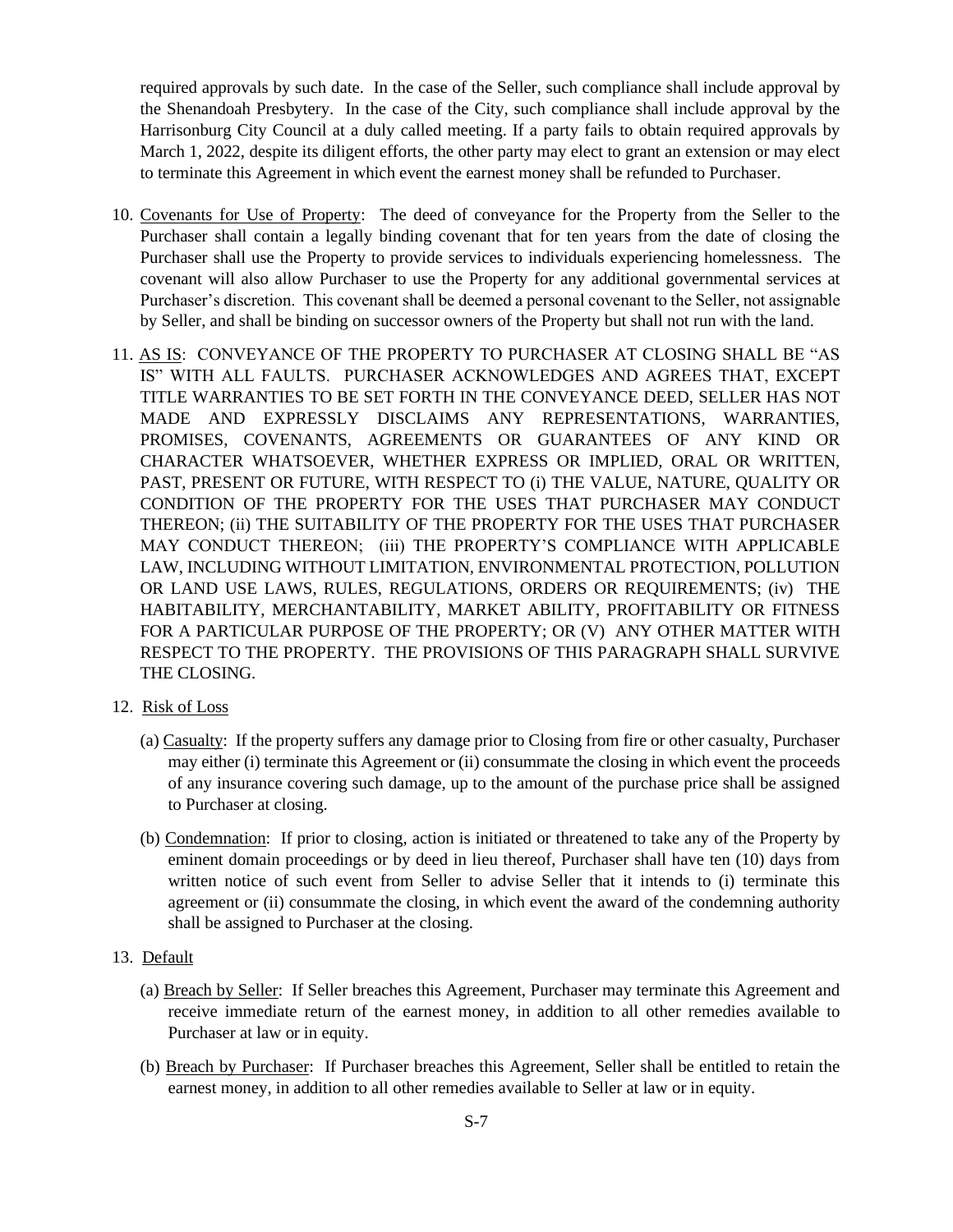required approvals by such date. In the case of the Seller, such compliance shall include approval by the Shenandoah Presbytery. In the case of the City, such compliance shall include approval by the Harrisonburg City Council at a duly called meeting. If a party fails to obtain required approvals by March 1, 2022, despite its diligent efforts, the other party may elect to grant an extension or may elect to terminate this Agreement in which event the earnest money shall be refunded to Purchaser.

- 10. Covenants for Use of Property: The deed of conveyance for the Property from the Seller to the Purchaser shall contain a legally binding covenant that for ten years from the date of closing the Purchaser shall use the Property to provide services to individuals experiencing homelessness. The covenant will also allow Purchaser to use the Property for any additional governmental services at Purchaser's discretion. This covenant shall be deemed a personal covenant to the Seller, not assignable by Seller, and shall be binding on successor owners of the Property but shall not run with the land.
- 11. AS IS: CONVEYANCE OF THE PROPERTY TO PURCHASER AT CLOSING SHALL BE "AS IS" WITH ALL FAULTS. PURCHASER ACKNOWLEDGES AND AGREES THAT, EXCEPT TITLE WARRANTIES TO BE SET FORTH IN THE CONVEYANCE DEED, SELLER HAS NOT MADE AND EXPRESSLY DISCLAIMS ANY REPRESENTATIONS, WARRANTIES, PROMISES, COVENANTS, AGREEMENTS OR GUARANTEES OF ANY KIND OR CHARACTER WHATSOEVER, WHETHER EXPRESS OR IMPLIED, ORAL OR WRITTEN, PAST, PRESENT OR FUTURE, WITH RESPECT TO (i) THE VALUE, NATURE, QUALITY OR CONDITION OF THE PROPERTY FOR THE USES THAT PURCHASER MAY CONDUCT THEREON; (ii) THE SUITABILITY OF THE PROPERTY FOR THE USES THAT PURCHASER MAY CONDUCT THEREON; (iii) THE PROPERTY'S COMPLIANCE WITH APPLICABLE LAW, INCLUDING WITHOUT LIMITATION, ENVIRONMENTAL PROTECTION, POLLUTION OR LAND USE LAWS, RULES, REGULATIONS, ORDERS OR REQUIREMENTS; (iv) THE HABITABILITY, MERCHANTABILITY, MARKET ABILITY, PROFITABILITY OR FITNESS FOR A PARTICULAR PURPOSE OF THE PROPERTY; OR (V) ANY OTHER MATTER WITH RESPECT TO THE PROPERTY. THE PROVISIONS OF THIS PARAGRAPH SHALL SURVIVE THE CLOSING.
- 12. Risk of Loss
	- (a) Casualty: If the property suffers any damage prior to Closing from fire or other casualty, Purchaser may either (i) terminate this Agreement or (ii) consummate the closing in which event the proceeds of any insurance covering such damage, up to the amount of the purchase price shall be assigned to Purchaser at closing.
	- (b) Condemnation: If prior to closing, action is initiated or threatened to take any of the Property by eminent domain proceedings or by deed in lieu thereof, Purchaser shall have ten (10) days from written notice of such event from Seller to advise Seller that it intends to (i) terminate this agreement or (ii) consummate the closing, in which event the award of the condemning authority shall be assigned to Purchaser at the closing.
- 13. Default
	- (a) Breach by Seller: If Seller breaches this Agreement, Purchaser may terminate this Agreement and receive immediate return of the earnest money, in addition to all other remedies available to Purchaser at law or in equity.
	- (b) Breach by Purchaser: If Purchaser breaches this Agreement, Seller shall be entitled to retain the earnest money, in addition to all other remedies available to Seller at law or in equity.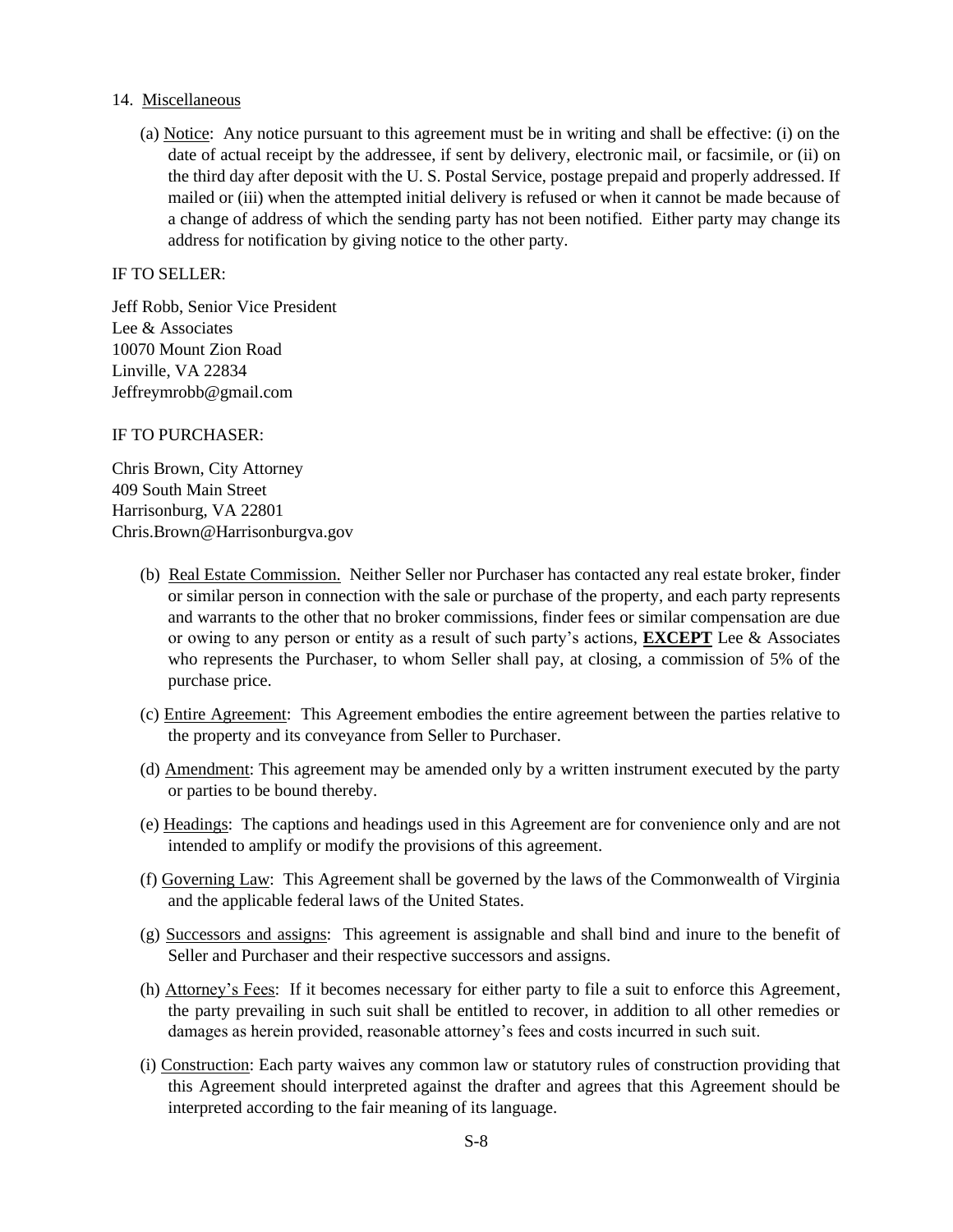### 14. Miscellaneous

(a) Notice: Any notice pursuant to this agreement must be in writing and shall be effective: (i) on the date of actual receipt by the addressee, if sent by delivery, electronic mail, or facsimile, or (ii) on the third day after deposit with the U. S. Postal Service, postage prepaid and properly addressed. If mailed or (iii) when the attempted initial delivery is refused or when it cannot be made because of a change of address of which the sending party has not been notified. Either party may change its address for notification by giving notice to the other party.

## IF TO SELLER:

Jeff Robb, Senior Vice President Lee & Associates 10070 Mount Zion Road Linville, VA 22834 Jeffreymrobb@gmail.com

### IF TO PURCHASER:

Chris Brown, City Attorney 409 South Main Street Harrisonburg, VA 22801 Chris.Brown@Harrisonburgva.gov

- (b) Real Estate Commission. Neither Seller nor Purchaser has contacted any real estate broker, finder or similar person in connection with the sale or purchase of the property, and each party represents and warrants to the other that no broker commissions, finder fees or similar compensation are due or owing to any person or entity as a result of such party's actions, **EXCEPT** Lee & Associates who represents the Purchaser, to whom Seller shall pay, at closing, a commission of 5% of the purchase price.
- (c) Entire Agreement: This Agreement embodies the entire agreement between the parties relative to the property and its conveyance from Seller to Purchaser.
- (d) Amendment: This agreement may be amended only by a written instrument executed by the party or parties to be bound thereby.
- (e) Headings: The captions and headings used in this Agreement are for convenience only and are not intended to amplify or modify the provisions of this agreement.
- (f) Governing Law: This Agreement shall be governed by the laws of the Commonwealth of Virginia and the applicable federal laws of the United States.
- (g) Successors and assigns: This agreement is assignable and shall bind and inure to the benefit of Seller and Purchaser and their respective successors and assigns.
- (h) Attorney's Fees: If it becomes necessary for either party to file a suit to enforce this Agreement, the party prevailing in such suit shall be entitled to recover, in addition to all other remedies or damages as herein provided, reasonable attorney's fees and costs incurred in such suit.
- (i) Construction: Each party waives any common law or statutory rules of construction providing that this Agreement should interpreted against the drafter and agrees that this Agreement should be interpreted according to the fair meaning of its language.